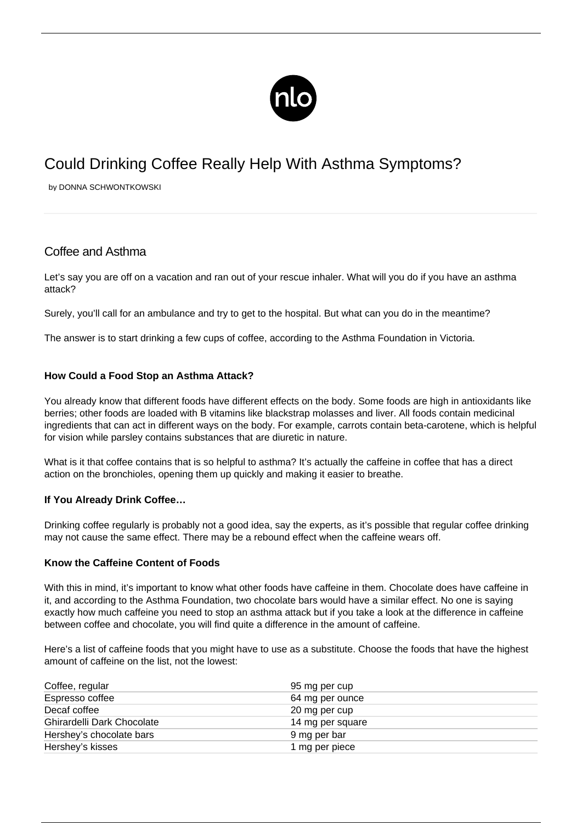

# Could Drinking Coffee Really Help With Asthma Symptoms?

by DONNA SCHWONTKOWSKI

# Coffee and Asthma

Let's say you are off on a vacation and ran out of your rescue inhaler. What will you do if you have an asthma attack?

Surely, you'll call for an ambulance and try to get to the hospital. But what can you do in the meantime?

The answer is to start drinking a few cups of coffee, according to the Asthma Foundation in Victoria.

## **How Could a Food Stop an Asthma Attack?**

You already know that different foods have different effects on the body. Some foods are high in antioxidants like berries; other foods are loaded with B vitamins like blackstrap molasses and liver. All foods contain medicinal ingredients that can act in different ways on the body. For example, carrots contain beta-carotene, which is helpful for vision while parsley contains substances that are diuretic in nature.

What is it that coffee contains that is so helpful to asthma? It's actually the caffeine in coffee that has a direct action on the bronchioles, opening them up quickly and making it easier to breathe.

### **If You Already Drink Coffee…**

Drinking coffee regularly is probably not a good idea, say the experts, as it's possible that regular coffee drinking may not cause the same effect. There may be a rebound effect when the caffeine wears off.

### **Know the Caffeine Content of Foods**

With this in mind, it's important to know what other foods have caffeine in them. Chocolate does have caffeine in it, and according to the Asthma Foundation, two chocolate bars would have a similar effect. No one is saying exactly how much caffeine you need to [stop an asthma attack](/avoiding-asthma-attacks/) but if you take a look at the difference in caffeine between coffee and chocolate, you will find quite a difference in the amount of caffeine.

Here's a list of caffeine foods that you might have to use as a substitute. Choose the foods that have the highest amount of caffeine on the list, not the lowest:

| Coffee, regular            | 95 mg per cup    |  |
|----------------------------|------------------|--|
| Espresso coffee            | 64 mg per ounce  |  |
| Decaf coffee               | 20 mg per cup    |  |
| Ghirardelli Dark Chocolate | 14 mg per square |  |
| Hershey's chocolate bars   | 9 mg per bar     |  |
| Hershey's kisses           | 1 mg per piece   |  |